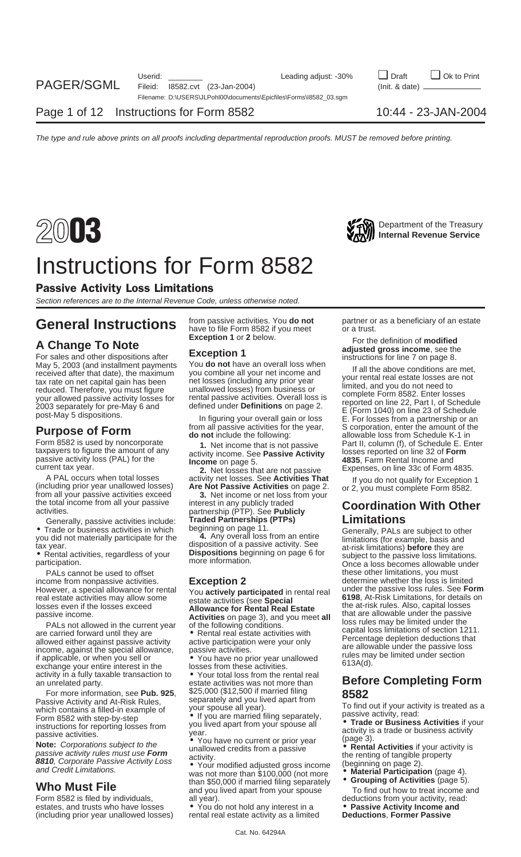

### Instructions for Form 8582

### Passive Activity Loss Limitations

Section references are to the Internal Revenue Code, unless otherwise noted.

May 5, 2003 (and installment payments You **do not** have an overall loss when<br>received after that date), the maximum you combine all your net income and<br>tax rate on net capital gain has been the losses (including any prior

passive activity loss (PAL) for the **Income** on page 5. **Income** 5. **4835**, Farm Rental Income and **Income** on page 5. **4835**, Farm Rental Income and current tax year.

A PAL occurs when total losses activity net losses. See **Activities That** If you do not qualify for Exception 1<br>(including prior year unallowed losses) **Are Not Passive Activities** on page 2. or 2, you must complete Form 8

exchange your entire interest in the losses from these activities.<br>activity in a fully taxable transaction to  $\bullet$  Your total loss from the rental real<br>an unrelated party.<br>estate activities was not more than

Passive Activity and At-Risk Rules, separately and you live<br>which contains a filled-in example of your spouse all year). Fassive Activity and At-Fish Rules,<br>
which contains a filled-in example of<br>
Form 8582 with step-by-step<br>
instructions for reporting losses from<br>
you lived apart from your spouse all<br>
you lived apart from your spouse all<br>
y

Note: Corporations subject to the<br> **Note:** Corporations subject to the<br>
passive activity rules must use **Form**<br> **Rental Activities** if your activity is<br> **Rental Activities** if your activity is<br> **Rental Activities** if your

Form 8582 is filed by individuals, and all year). The metal of the deductions from your activity, read: estates, and trusts who have losses **•** You do not hold any interest in a **• Passive Activity Income and**<br>(including prior year unallowed losses) rental real estate activity as a limited **Deductions, Former Passive** (including prior year unallowed losses)

**General Instructions** from passive activities. You **do not** partner or as a beneficiary of an estate **General Instructions** have to file Form 8582 if you meet or a trust.

rrent tax year.<br>**2.** Net losses that are not passive Expenses, on line 33c of Form 4835.<br>A PAL occurs when total losses activity net losses. See **Activities That** If you do not qualify for Exception

However, a special allowance for rental You **actively participated** in rental real under the passive loss rules. See **Form**

For more information, see **Pub. 925**, \$25,000 (\$12,500 if married filing **8582**

**From Credit Limitations.**<br>
Who Must File than \$50,000 if married filing separately **Crouping of Activities** (page 5).<br>
and you lived apart from your spouse To find out how to treat income and

Exception 1 or 2 below.<br> **A Change To Note**<br>
For the definition of modified<br>
For sales and other dispositions after<br>
Exception 1

**Purpose of Form**<br> **do not** include the following:<br> **Form 8582 is used by noncorporate**<br> **do not** include the following:<br> **Part II**, column (f), of Schedule E, Ente Form 8582 is used by noncorporate **1.** Net income that is not passive Part II, column (f), of Schedule E. Enter taxpayers to figure the amount of any  $\frac{1}{2}$  activity income. See **Passive Activity** losses reported on li

Generally, passive activities include:<br>
Traded Partnerships (PTPs)<br>
Traded Partnerships (PTPs)<br>
Traded Partnerships (PTPs)<br>
Limitations<br>
Cenerally, PALs are subject to other<br>
Senerally, PALs are subject to other<br>
tax year. PALs cannot be used to offset these other limitations, you must<br>ome from nonpassive activities. **Exception 2** these other limitations, you must income from nonpassive activities.<br>However, a special allowance for rental you actively participated in rental real under the passive loss rules. See **Form** real estate activities may allow some<br>
losses even if the losses exceed<br>
passive income.<br>
PALs not allowed in the current year<br>
are carried forward until they are<br>
PALs not allowed in the current year<br>
of the following con

## **Before Completing Form**

- 
-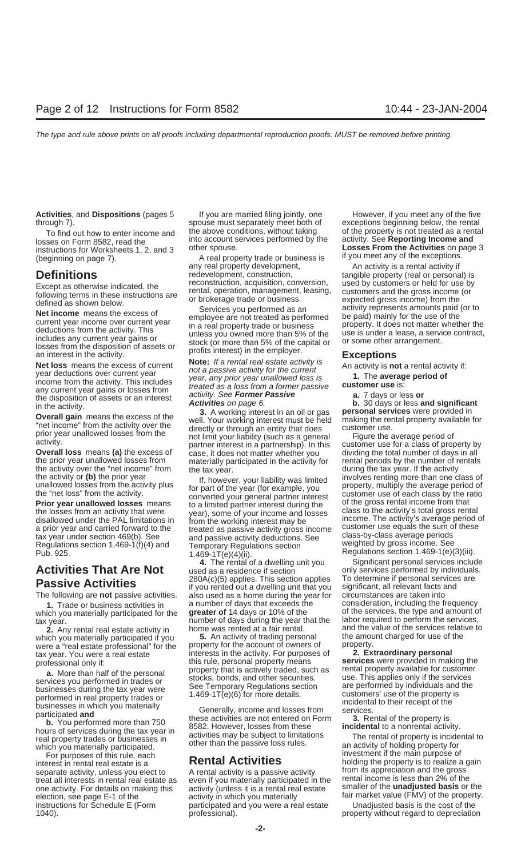**Activities**, and **Dispositions** (pages 5 If you are married filing jointly, one However, if you meet any of the five through 7). spouse must separately meet both of exceptions beginning below, the rental

which you materially participated for the **greater of** 14 days or 10% of the of the services, the type and amount of<br>number of days during the vear that the labor required to perform the services,

which you materially participated if you **5.** An activity of trading personal the amount were a "real estate professional" for the property for the account of owners of the property. were a "real estate professional" for the property for the account of owners of property.<br>tax year. You were a real estate interests in the activity. For purposes of **2. Extraordinary personal** 

**a.** More than half of the personal<br>services you performed in trades or<br>businesses during the tax year were<br>performed in real property trades or<br>businesses during the tax year were<br>performed in real property trades or<br>busi

real property trades or businesses in activities may be subject to limitations The rental of property is incidental to which you materially participated other than the passive loss rules. The rental of property is incident which you materially participated.

interest in rental real estate is a **Rental Activities** holding the property is to realize a gain<br>separate activity, unless you elect to A rental activity is a passive activity from its appreciation and the gross separate activity, unless you elect to A rental activity is a passive activity separate appreciation and the gross<br>treat all interests in rental real estate as a even if you materially participated in the rental income is treat all interests in rental real estate as even if you materially participated in the

instructions for Worksheets 1, 2, and 3 Under spouse.<br>A real property trade or business is if you meet any of the exceptions.<br>any real property development, and activity is a rental activity if **Definitions** redevelopment, construction, tangible property (real or personal) is<br>Excont as otherwise indicated, the reconstruction, acquisition, conversion, used by customers or held for use by

We tincome means the excess of<br>
Net income means the excess of<br>
current year income over current year<br>
in a real property trade or business<br>
in a real property trade or business<br>
in a real property trade or business<br>
incom

**Overall loss** means **(a)** the excess of case, it does not matter whether you dividing the total number of days in all<br>**Overall loss** means **(a)** the excess of case, it does not matter whether you dividing the total number the prior year unallowed losses from materially participated in the activity for rental periods by the number of rentals<br>the activity over the "net income" from the tax year during the tax year. If the activity

the activity or (b) the prior year and converted your liability was limited<br>
the "net losses from the activity plus<br> **Prior year unallowed losses** from the activity plus<br> **Prior year unallowed losses** means to a limited co

**Activities That Are Not** used as a residence if section only services performed by individuals<br> **Regalize Activities** 280A(c)(5) applies. This section applies To determine if personal services are <sup>280A(c)</sup>(5) applies. This section applies To determine if personal service<br>if you rented out a dwelling unit that you significant, all relevant facts and<br>The following are not passive activities. also used as a home durin The following are **not** passive activities. consider a a home during the year for circumstances are taken into **1**<br>**1** Trade or business activities in a number of days that exceeds the consideration, including the frequenc **1.** Trade or business activities in a number of days that exceeds the consideration, including the frequency including the frequency in a number of 14 days or 10% of the services, the type and amount of tax year.<br> **2.** Any rental real estate activity in home was rented at a fair rental.

interests in the activity. For purposes of this rule, personal property means. professional only if: this rule, personal property means **services** were provided in making the<br>**a** More than half of the personal property that is actively traded, such as rental property available for customer

one activity. For details on making this activity (unless it is a rental real estate smaller of the **unadjusted basis** or the election, see page E-1 of the activity in which you materially fair market value (FMV) of the property.<br>instructions for Schedule E (Form participated and you were a real estate Unadjusted basis is the cost of the participated and you were a real estate 1040). professional). property without regard to depreciation

To find out how to enter income and<br>losses on Form 8582, read the into account services performed by the activity. See **Reporting Income and**<br>instructions for Worksheets 1, 2, and 3 other spouse.

An activity is a rental activity if Except as otherwise indicated, the<br>following terms in these instructions are<br>defined as shown below. The construction of the construction, management, leasing, customers and the gross income (or<br>defined as shown below.

the activity over the "net income" from the tax year. during the tax year. If the activity<br>the activity or (b) the prior year is the activity was limited involves renting more than one class of

**4.** The rental of a dwelling unit you Significant personal services include ed as a residence if section only services performed by individuals. **2.** Any rental real estate activity in home was rented at a fair rental. and the value of the services relative to  $\frac{1}{2}$  and the value of the services relative to  $\frac{1}{2}$  ch you materially participated if you  $\frac{1}{$ 

For purposes of this rule, each **investment if the main purpose of this rule, each investment if the main purpose of this rule**, each **investment is the main purpose of this rule**, each **investment is the main purpose of**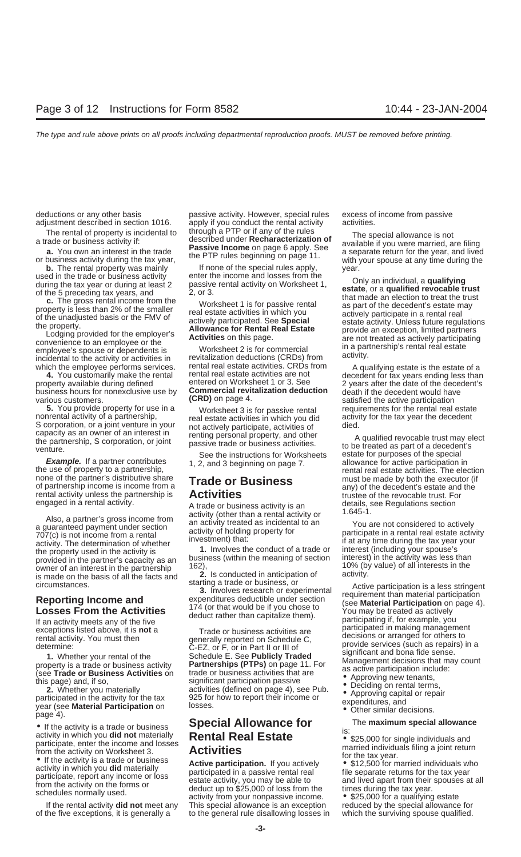various customers. **CRD**) on page 4. satisfied the active participation

**5.** You provide property for use in a Worksheet 3 is for passive rental requirements for the rental real estate nonrental activity of a partnership, real estate activities in which you did activity for the tax year the de nonrental activity of a partnership,<br>S corporation, or a joint venture in your in actively participate, activities of died.<br>Capacity as an owner of an interest in interesting personal property and other

none of the partner's distributive share **Trade or Business** must be made by both the executor (if partnership income is income from a **Trade or Business** must be made by both the executor (if any) of the decedent's estate

Also, a partner's gross income from<br>
a guaranteed payment under section<br>
TO7(c) is not income from a rental<br>
a guaranteed payment under section<br>
TO7(c) is not income from a rental<br>
activity of holding property for<br>
activit

• If the activity is a trade or business<br>
activity in which you **did not** materially<br>
participate, enter the income and losses<br>
from the activity on Worksheet 3.<br> **Activities**<br>
activity in which you **did not** materially<br>

of the five exceptions, it is generally a to the general rule disallowing losses in which the surviving spouse qualified.

deductions or any other basis passive activity. However, special rules excess of income from passive adjustment described in section 1016. apply if you conduct the rental activity activities.<br>The rental of property is incidental to through a PTP or if any of the rules The rental of property is incidental to<br>a trade or business activity if:<br>**a.** You own an interest in the trade<br>or business activity during the tax year,<br>or business activity during the tax year,<br> $\frac{1}{2}$  a separate return

**b.** The rental property was mainly **If none of the special rules apply,** year.<br>
If none of the special rules apply, year.

incidental to the activity or activities in revitalization deductions (CRDs) from a deluvity.<br>which the employee performs services. Tental real estate activities. CRDs from A qualifying estate is the estate of a<br>4. You cus **Commercial revitalization deduction (CRD)** on page 4.

If the rental activity **did not** meet any This special allowance is an exception reduced by the special allowance for

used in the trade or business activity<br>
of the foreceding tax year or during at least 2<br>
of the spreceding tax years, and<br>
of the spreceding tax years, and licome from the<br>
property is less than 2% of the smaller<br>
property

**4.** You customarily make the rental rental real estate activities are not decedent for tax years ending less than<br>Inerty available during defined entered on Worksheet 1 or 3. See 2 years after the date of the decedent's property available during defined entered on Worksheet 1 or 3. See 2 years after the date of the decedent's business hours for nonexclusive use by **Commercial revitalization deduction** death if the decedent would have

capacity as an owner of an interest in<br>the partnership, S corporation, or joint<br>venture.<br>venture.<br>**Example.** If a partner contributes<br>the use of property to a partnership,<br>the use of property to a partnership,<br>the use of p engaged in a rental activity.<br>A trade or business activity is an details, see Regulations section<br>activity (other than a rental activity or 1.645-1.

Circumstances.<br> **Reporting Income and**<br> **Reporting Income and**<br> **Reporting Income and**<br> **Reporting Income and**<br> **Example the Activities**<br> **Example the Activities**<br> **Example the Activities**<br> **Example the Activities**<br> **Exam** 

- 
- 
- 
- 
-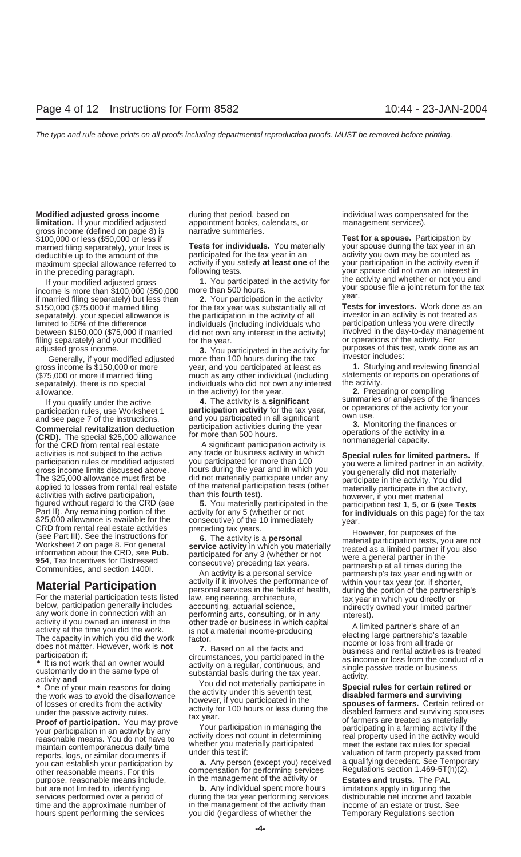### **Modified adjusted gross income** during that period, based on individual was compensated for the

**limitation.** If your modified adjusted appointment books, calendars, or a management services). <br>gross income (defined on page 8) is a narrative summaries. gross income (defined on page 8) is<br>\$100,000 or less (\$50,000 or less if married filing separately), your loss is **The Individuals.** You mate<br>deductible up to the amount of the tax year in an

income is more than \$100,000 (\$50,000 more than 500 hours.<br>if married filing separately) but less than **2.** Your participation in the activity year.<br>\$150,000 (\$75,000 if married filing for the tax year was substantially al \$150,000 (\$75,000 if married filing for the tax year was substantially all of **Tests for investors.** Work done as an<br>separately), your special allowance is the participation in the activity of all finvestor in an activity separately), your special allowance is the participation in the activity of all investor in an activity is not treated as limited to 50% of the difference individuals (including individuals who participation unless you were directly filing separately) and your modified for the year.<br>
adjusted gross income.<br> **3** You participated in the activity for purposes of this test, work done as an

gross income is \$150,000 or more

m you duality didn't its active<br>participation rules, use Worksheet 1<br>and see page 7 of the instructions.<br>**Commercial revitalization deduction**<br>**Commercial revitalization deduction**<br>**CORD).** The special \$25,000 allowance<br>fo for the CRD from rental real estate any trade or business activity is<br>activities is not subject to the active any trade or business activity in which **Special rules for limited partners.** If<br>participation rules or modified applied to losses from rental real estate of the material participation tests (other materially participate in the activity,<br>activities with active participation, than this fourth test).<br>figured without regard to the CRD ( Part II). Any remaining portion of the activity for any 5 (whether or not<br>\$25,000 allowance is available for the consecutive) of the 10 immediately<br>CRD from rental real estate activities preceding tax years. However, for p Worksheet 2 on page 8. For general

reasonable means. You do not have to activity does not count in determining real property used in the activity would<br>maintain contemporaneous daily time whether you materially participated meet the estate tax rules for spe reports, logs, or similar documents if ander this test if:<br>valuation of farm property passed from<br>vou can establish your participation by **a.** Any person (except you) received a qualifying decedent. See Temporary purpose, reasonable means include, in the management of the activity or **Estates and trusts.** The PAL but are not limited to, identifying **b.** Any individual spent more hours limitations apply in figuring the services performed over a period of during the tax year performing services distributable net income and taxable time and the approximate number of in the management of the activity than income of an estate or trust. See

deductible up to the amount of the participated for the tax year in an activity you own may be counted as maximum special allowance referred to activity if you satisfy at least one of the your participation in the activity maximum special allowance referred to activity if you satisfy **at least one** of the your participation in the activity even if<br>in the preceding paragraph. **in the preceding paragraph** following tests.

adjusted gross income.<br>Cenerally if your modified adjusted more than 100 bours during the tax investor includes: Generally, if your modified adjusted in more than 100 hours during the tax investor includes:<br>ss income is \$150,000 or more year, and you participated at least as **1.** Studying and reviewing financial (\$75,000 or more if married filing much as any other individual (including statements or reports on operations of (\$75,000 or more is no special individuals who did not own any interest the activity. separately), there is no special individuals who did not own any interest allowance. in the activity) for the year. **2.** Preparing or compiling

**Material Participation**<br>
For the material participation tests listed presonal services in the fields of health, during the potion of the participation density includes<br>
become the fields of health, during the portion of t

you can establish your participation by **a.** Any person (except you) received a qualifying decedent. See Tempora<br>other reasonable means. For this compensation for performing services Regulations section 1.469-5T(h)(2).<br>pur

hours spent performing the services you did (regardless of whether the Temporary Regulations section

**100.000 Test for a spouse.** Participation by<br>Tests for individuals. You materially vour spouse during the tax year in an in the preceding paragraph. following tests. your spouse did not own an interest in<br>If your medified edited areas and the proticipated in the activity for the activity and whether or not you and If your modified adjusted gross **1.** You participated in the activity for the activity and whether or not you and the some is more than \$100,000 (\$50,000) more than 500 hours.

limited to 50% of the difference individuals (including individuals who participation unless you were directly<br>between \$150,000 (\$75,000 if married did not own any interest in the activity) involved in the day-to-day manag

If you qualify under the active **4.** The activity is a **significant** summaries or analyses of the finances<br>ticipation rules, use Worksheet 1 **participation activity** for the tax year, or operations of the activity for your

participation rules or modified adjusted<br>gross income limits discussed above.<br>The \$25,000 allowance must first be did not materially participate under any participate in the activity.<br>The \$25,000 allowance must first be di

Gee Part III). See the instructions for the activity is a **personal**<br>Worksheet 2 on page 8. For general **service activity** in which you material participation tests, you are not<br>information about the CRD, see **Pub.** partic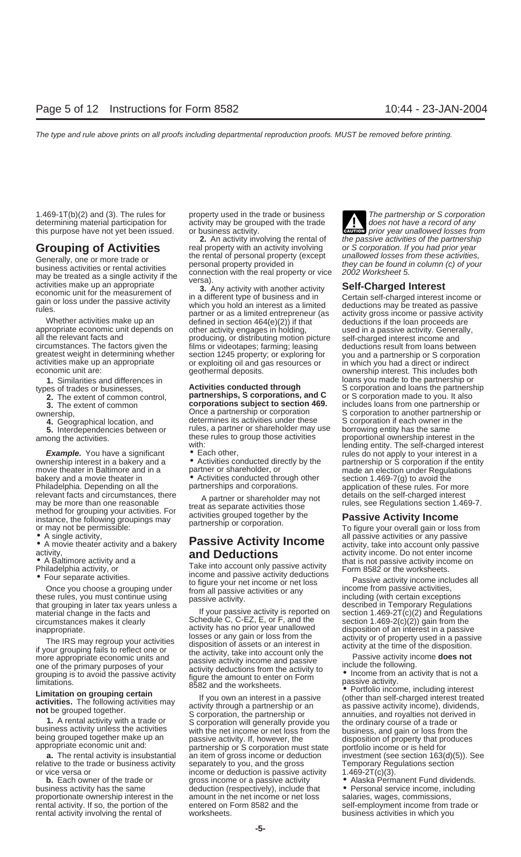determining material participation for activity may be grouped with the trade  $\blacksquare$  does not have a record of any

**Example.** You have a significant • Each other, vour interest in a comership interest in a bakery and a verticulation of a carrowing ownership or S corporation if the entirecty by the setting ownership or S corporation if movie theater in Baltimore and in a mather or shareholder, or made an election under Regulations bakery and a movie theater in **•** Activities conducted through other section 1.469-7(g) to avoid the<br>Philadelphia. Depending on all the partnerships and corporations. <br>application of these rules. For more Philadelphia. Depending on all the relevant facts and circumstances, there a partner or shareholder may not details on the self-charged interest<br>
may be more than one reasonable treat as separate activities those rules, see Regulations section 1.469-7.<br>
met

material change in the facts and If your passive activity is reported on section 1.469-2T(c)(2) and Regulations<br>circumstances makes it clearly Schedule C, C-EZ, E, or F, and the section 1.469-2(c)(2) gain from the circumstances makes it clearly Schedule C, C-EZ, E, or F, and the inappropriate in  $\frac{1}{2}$  activity has no prior year unallowed

relative to the trade or business activity separately to you, and the gross Temporary Regulations section<br>or vice versa or income or deduction is passive activity 1.469-2T(c)(3).

**Grouping of Activities** real property with an activity involving or S corporation. If you had prior year<br>Conorally one of more trade or the rental of personal property (except unallowed losses from these activities,

Generally, one or more trade or<br>
business activities or rental activities<br>
may be treated as a single activity if the<br>
economic unit for the measurement of<br>
activities make up an appropriate<br>
economic unit for the measurem greatest weight in determining whether section 1245 property; or exploring for you and a partnership or S corporation<br>activities make up an appropriate or exploiting oil and gas resources or in which you had a direct or in

partnerships, S corporations, and C **3.** The extent of common **corporations subject to section 469.** Includes loans from one partnership or **corporation corporation corporation corporation corporation corporation corporation corporation corpo** 

**5.** Interdependencies between or rules, a partner or shareholder may use borrowing entity has the same these rules to group those activities proportional ownership interest in the among the activities. these rules to group those activities proportional ownership interest in the with:

activity,<br>
• A Baltimore activity and a<br>
Philadelphia activity, or<br>
• Four separate activities.<br>
• Four separate activities.<br>
Take into account only passive activity<br>
activity income. Do not enter income<br>
that is not passi

income or deduction is passive activity  $1.469-2T(c)(3)$ . **b.** Each owner of the trade or gross income or a passive activity  $\bullet$  Alaska Permanent Fund dividends. business activity has the same deduction (respectively), include that • Personal service income, including<br>proportionate ownership interest in the amount in the net income or net loss salaries, wages, commissions, proportionate ownership interest in the amount in the net income or net loss salaries, wages, commissions, rental activity. If so, the portion of the entered on Form 8582 and the self-employment income from rental activity. If so, the portion of the entered on Form 8582 and the self-employment income from trade or rental activity involving the rental of worksheets. The metal of the business activities in which you

1.469-1T(b)(2) and (3). The rules for property used in the trade or business The partnership or S corporation this purpose have not yet been issued. The property ascult the hade of business<br>this purpose have not yet been issued. This purpose have a record of any<br>this purpose have not yet been issued. The business activity. **2.** An activity involving the rental of the passive activities of the partnership

**1.** Similarities and differences in **1.** Activities conducted through loans you made to the partnership or and loans the partnership or **Activities conducted through** S corporation and loans the partnersl types of trades or businesses, **Activities conducted through** S corporation and loans the partnership<br>**2.** The extent of common control, **partnerships, S corporations, and C** or S corporation made to you. It also ownership,<br> **Once a partnership or corporation S** corporation to another partnership or<br> **4.** Geographical location, and determines its activities under these S corporation if each owner in the **4.** Georgenation if each owner in the borrowing entity has the same with: lending entity. The self-charged interest partnership or S corporation if the entity

metriod for grouping your activities. For activities grouped together by the **Passive Activity Income**<br>
Instance, the following groupings may partnership or corporation.<br>
■ A single activity, and a bakery **Passive Activit** 

mappropriate.<br>
The IRS may regroup your activities<br>
if your group your carbotters in a passive disposition of assiming the disposition of an interest in a passive<br>
if your group of the primary purposes of any game of the p **a.** The rental activity is insubstantial an item of gross income or deduction investment (see section 163(d)(5)). See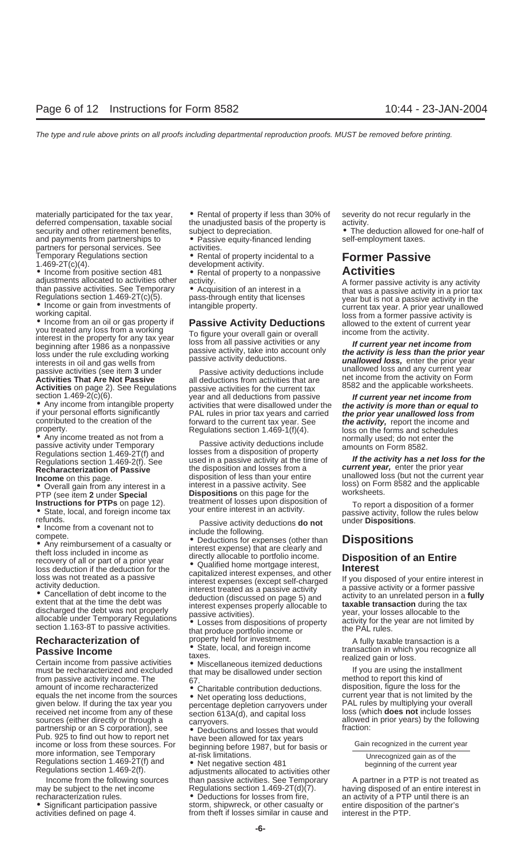security and other retirement benefits, subject to depreciation.  $\bullet$  The deduction allowed for one-half of and payments from partnerships to  $\bullet$  Passive equity-financed lending self-employment taxes. partners for personal services. See

Temporary Regulations section **•** Rental of property incidental to a **Former Passive**<br> **•** Income from positive section 481 • Rental of property to a nonpassive **Activities**<br>
adjustments allocated to activities other activ

adjustments allocated to activities other<br>
than passive activity. A former passive activity is any activity<br>
Regulations section 1.469-2T(c)(5).<br>
• Income or gain from investments of<br>
• Income or gain from investments of<br>

passive activity under Temporary<br>Regulations section 1.469-2T(f) and losses from a disposition of property

Certain income from passive activities <br>
If you are using the installment<br>
If you are using the installment<br>
If you are using the installment<br>
from passive activity income. The 67.<br>
If you are using the installment<br>
method amount of income recharacterized **exercise on the solution** charitable contribution deductions. The equals the net income from the sources **e** Net operating loss deductions, current year that is not limited by the equals the net income from the sources<br>given below. If during the tax year you<br>received net income from any of these<br>sources (either directly or through a<br>partnership or an S corporation), see beductions and losses that wo Pub. 925 to find out how to report net<br>income or loss from these sources. For<br>more information, see Temporary<br>more information, see Temporary<br>Regulations section 1.469-2T(f) and<br>Regulations section 1.469-2T(f) and<br>Regulat

materially participated for the tax year, • Rental of property if less than 30% of severity do not recur regularly in the deferred compensation, taxable social the unadjusted basis of the property is activity.

• Passive equity-financed lending<br>activities.

**Exerces** the come on this page.<br>
• Overall gain from any interest in a massive activity. See the and the current year<br> **PEP** (see item **2** under **Special**<br> **PEP** (see item **2** under **Special**<br> **PEP** (see item **2** under

Income from the following sources than passive activities. See Temporary het a partner in a PTP is not treated as than passive activities. See Temporary het a partner in a PTP is not treated as than passive action 1.469-2T

recharacterization rules. <br>• Significant participation passive storm, shipwreck, or other casualty or entire disposition of the partner's • Significant participation passive storm, shipwreck, or other casualty or entire disposition of activities defined on page 4. from the ft if losses similar in cause and interest in the PTP. from theft if losses similar in cause and

**Activities on page 2). See Regulations** because the current tax and all deductions from passive activities for the current tax section 1.469-2(c)(6). year and all deductions from passive **activities on** passive activiti

Regulations section 1.469-2(f). See used in a passive activity at the time of **If the activity has a net loss for the**<br>Recharacterization of Passive the disposition and losses from a **Current year**, enter the prior year **Recharacterization of Passive** the disposition and losses from a **current year,** enter the prior year

Fractive times included in incovery of all or part of a prior year<br>
loss deduction if the deduction for the<br>
loss deduction if the deduction for the<br>
loss was not treated as a passive<br>
activity deduction.<br>
examelent intere

**Recharacterization of** property held for investment. A fully taxable transaction is a<br> **Passive Income Cassic Constant Constant** of State, local, and foreign income transaction in which you recognize all **Passive Income** • State, local, and foreign income transaction in which you recognize all<br>Certain income from passive activities • Miscellaneous itemized deductions<br>Certain income from passive activities • Miscellaneous i

may be subject to the net income Regulations section 1.469-2T(d)(7). having disposed of an entire interest in recharacterization rules.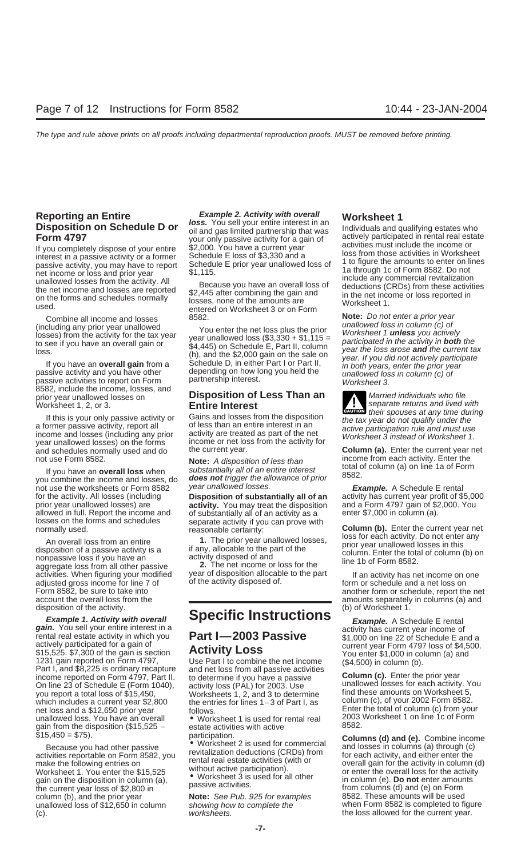Figure of the amounts of the amounts of the amounts of the amounts of the amounts of the amounts of the amounts of the amounts of the amounts of the amounts of the amounts of the amounts of the amounts of the amounts of th

8582, include the income, losses, and prior year unallowed losses on **Disposition of Less Than an** Married individuals who file<br>Worksheet 1, 2, or 3. **Entire Interest Entire Interest** 

If this is your only passive activity or<br>a former passive activity, report all<br>income and losses (including any prior activity are treated as part of the net<br>year unallowed losses) on the forms income or net loss from the year unallowed losses) on the forms the current year loss from the activity for<br>and schedules normally used and do the current year. **Column (a).** Enter the current year net

If you have an **overall loss** when substantially all of an entire interest<br>you combine the income and losses, do **does not** trigger the allowance of prior 8582.<br>not use the worksheets or Form 8582 year unallowed losses. not use the worksheets or Form 8582 year unallowed losses. **Example.** A Schedule E rental for the activity. All losses (including **Disposition of substantially all of an** activity has current year profit of \$5,000 prior year unallowed losses) are **activity.** You may treat the disposition and a Form 4797 gain of \$2,000 in column (a). allowed in full. Report the income and of substantially all of an activity as a losses on the forms and schedules separate activity if you can prove wit

adjusted gross income for line 7 of of the activity disposed of metal of the more schedule and a net loss on disposition of the activity.

**Example 1. Activity with overall Specific Instructions Example.** A Schedule E rental gain. You sell your entire interest in a **gain.** You sell your entire interest in a<br>rental real estate activity in which you<br>actively participated for a gain of<br>\$15,525. \$7,300 of the gain is section<br>\$15,525. \$7,300 of the gain is section<br>\$15,525. \$7,300 of the g income reported on Form 4797, Part II. to determine if you have a passive **Column (c).** Enter the prior year<br>On line 23 of Schedule E (Form 1040), activity loss (PAL) for 2003. Use unallowed losses for each activity. You<br>v you report a total loss of \$15,450, Worksheets 1, 2, and 3 to determine find these amounts on Worksheet 5, which includes a current year \$2,800 the entries for lines 1–3 of Part I, as column (c), of your 2002 Form 8582. which includes a current year  $$2,800$  the entries for lines  $1-3$  of Part I, as net loss and a  $$12,650$  prior year follows. net loss and a \$12,650 prior year follows.<br>
unallowed loss. You have an overall variable Worksheet 1 is used for rental real 2003 Worksheet 1 on line 1c of Form gain from the disposition (\$15,525 – \$15,450 = \$75).

unallowed loss of \$12,650 in column (c). the loss allowed for the current year. The loss allowed for the current year.

**Reporting an Entire**<br> **Example 2. Activity with overall Worksheet 1**<br> **Disposition on Schedule D or** loss. You sell your entire interest in an<br>
Form 4797 wor only passive activity for a gain of<br>
If you completely dispose

ed.<br>Combine all income and losses and the set of the set of Norksheet 3 or on Form<br>Cluding any prior year unallowed<br>Cluding any prior year unallowed<br>Cluding any prior year unallowed by the set of the set of the set of the

aggregate loss from all other passive **2.** The net income or loss for the<br>activities. When figuring your modified year of disposition allocable to the part If an activity has net income on one<br>adjusted gross income for lin

• Worksheet 1 is used for rental real <sup>2003</sup> Worksheet 1 on line 1c of Form estate activities with active

(including any prior year unallowed  $\begin{array}{ll}\n\text{(including any prior year unallowed)} \\
\text{(including any prior year unallowed)} \\
\text{(to see if you have an overall gain or 0)} \\
\text{(to see if you have an overall gain or 0)} \\
\text{(to see if you have an overall gain from a 0)} \\
\text{(to see if you have an overall gain from a 0)} \\
\text{(to be a) of the class of the data, and you have other possible.} \\
\text{(to be a) of the class of the class of the data, and you have other possible.} \\
\text{(to be a) of the class of the class of the class of the class of the class of the class of the class of the class of the class of the class of the class of$ 

prior year unallowed losses on **Entire Interest**<br>Worksheet 1, 2, or 3. **Entire Interest** separate returns and lived with their spouses at any time during

not use Form 8582.<br>**Note:** A disposition of less than **income from each activity. Enter the**<br>*Note inferially all of an entire interest* total of column (a) on line 1a of Form

Verteining to the forms and schedules<br>
normally used.<br>
An overall loss from an entire<br>
disposition of a passive activity is a<br>
normal loss from an entire<br>
disposition of a passive activity is a<br>
nonpassive loss if you have

Form 8582, be sure to take into another form or schedule, report the net account the overall loss from the secount the net account the overall loss from the secount the overall loss from the secount the overall loss from t amounts separately in columns (a) and (b) of Worksheet 1.

5,450 = \$75). participation. **Columns (d) and (e).** Combine income • Columns (d) and (e). Combine income • Worksheet 2 is used for commercial and losses in columns (a) through (c) exacuse you had other passive • worksheet Exercise exportable on Form 8582, you<br>
make the following entries on Form 8582, you revitalization deductions (CRDs) from for each activity, and either enter the<br>
make the following entries on without active participation) the current year loss of \$2,800 in<br>
column (b), and the prior year **Note:** See Pub. 925 for examples 8582. These amounts will be used<br>
unallowed loss of \$12,650 in column showing how to complete the when Form 8582 is compl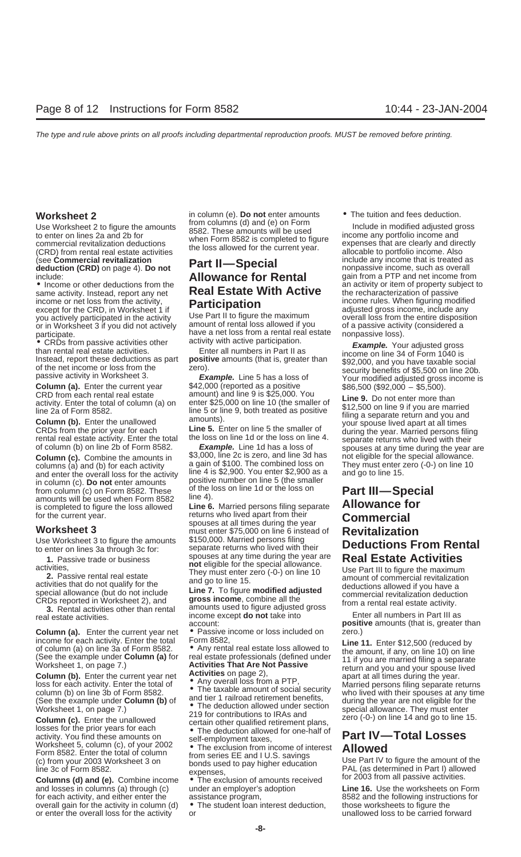Use Worksheet 2 to figure the amounts<br>to enter on lines 2a and 2b for<br>commercial revitalization deductions<br>(CRD) from rental real estate activities<br>the loss allowed for the current year.<br>These amounts will be used<br>to figur (see **Commercial revitalization**<br> **Part II—Special include any income that is treated as<br>
include: <b>Allowance for Rental** gain from a PTP and net income from

income or net loss from the activity, **Participation** income rules. When figuring modified except for the CRD, in Worksheet 1 if except for the CRD, in Worksheet 1 if **Participation**<br>you actively participated in the activity Use Part II to figure the maximum overall loss from the entire disposition

• CRDs from passive activities other all numbers in Part II as<br>
Instead, report these deductions as part **positive** amounts (that is, greater than<br>
passive activity in Worksheet 3.<br> **Example.** Your adjusted gross<br>
Instead,

columns (a) and (b) for each activity a gain of \$100. The combined loss on They must enter zero (-0-) on line 10<br>and enter the overall loss for the activity line 4 is \$2,900. You enter \$2,900 as a and go to line 15. and enter the overall loss for the activity<br>in equal content and in the set of the set of the set of the settivity<br>in column (c). **Do not** enter amounts<br>from column (c) on Form 8582. These of the loss on line 1d or the los is completed to figure the loss allowed<br>is completed to figure the loss allowed<br>for the current year.<br>**Line 6.** Married persons filing separate **Allowance for**<br>**Commercial** 

Use Worksheet 3 to figure the amounts \$150,000. Married persons filing<br>to enter on lines 3a through 3c for: separate returns who lived with their

**Column (a).** Enter the current year net  $\bullet$  Passive income or loss included on zero.)<br>income for each activity. Enter the total Form 8582.

Vorksheet 1, on page 7.)<br>
Worksheet 1, on page 7.)<br>
Column (c). Enter the unallowed<br>
losses for the prior years for each<br>
activity. You find these amounts on<br>
activity. You find these amounts on<br>
activity. You find these a Worksheet 5, column (c), of your 2002

and losses in columns (a) through (c) under an employer's adoption **Line 16.** Use the worksheets on Form for each activity, and either enter the assistance program, 8582 and the following instructions for overall gain for the activity in column (d)  $\bullet$  The student loan interest deduction, those worksheets to figure the overall gain for the activity in column (d)  $\bullet$  The student loan interest deduction, those worksheets to figure the overall loss for the activity or unallowed loss to be carried forward or enter the overall loss for the activity or

**Worksheet 2** in column (e). **Do not** enter amounts • The tuition and fees deduction.<br>Here Worksheet 2 to figure the experiment of from columns (d) and (e) on Form **include in modified educted are** 

# include: **Allowance for Rental**<br>• Income or other deductions from the **Real Estate With Active** the recharacterization of passive<br>**Participation** income rules. When figuring modified

you actively participated in the activity Use Part II to figure the maximum overall loss from the entire disposition or in Worksheet 3 if you did not actively amount of rental loss allowed if you of a passive activity (con or in Worksheet 3 if you did not actively amount of rental loss allowed if you of a passive activity of a passive activity of a passive loss). participate.<br>
• CRDs from passive activities other activity with active participation.

**Column (a).** Enter the current year \$42,000 (reported as a positive \$86,500 (\$92,000 – \$5,500).<br>CRD from each rental real estate amount) and line 9 is \$25,000. You

of column (b) on line 2b of Form 8582.<br> **Column (c).** Combine the amounts in \$3,000, line 2c is zero, and line 3d has not eligible for the special allowance.<br>
columns (a) and (b) for each activity a gain of \$100. The combi

for the current year.<br> **returns who lived apart from their Commercial**<br> **Worksheet 3** to figure the amounts \$150,000. Married persons filing<br>
Use Worksheet 3 to figure the amounts \$150,000. Married persons filing Use Worksheet 3 to figure the amounts<br>
to enter on lines 3a through 3c for:<br>
1. Passive trade or business<br>
activities,<br>
2. Passive rental real estate<br>
activities that do not qualify for the<br>
special allowance (but do not i

Special allowance (but do not include<br>
CRDs reported in Worksheet 2), and<br> **3.** Rental activities other than rental amounts used to figure adjusted gross<br> **3.** Rental activities other than rental amounts used to figure adj income except **do not** take into account:

- 
- 

Worksheet 5, column (c), of your 2002<br>
Form 8582. Enter the total of column<br>
(c) from your 2003 Worksheet 3 on bonds used to pay higher education<br>
line 3c of Form 8582.<br>
Columns (d) and (e). Combine income • The exclusion

• Income or other deductions from the an activity or item of property subject to same activity. Instead, report any net **Real Estate With Active** the recharacterization of passive

CRD from each rental real estate amount) and line 9 is \$25,000. You<br>activity. Enter the total of column (a) on enter \$25,000 on line 10 (the smaller of \$12,500 on line 9 if you are married<br>line 2a of Form 8582.<br>**Column (b)** 

account:<br>● Passive income or loss included on zero.)<br>● Passive income or loss included on zero.)

income for each activity. Enter the total Form 8582,<br>
of column (a) on line 3a of Form 8582. The state loss allowed to<br>
(See the example under **Column (a)** for real estate professionals (defined under<br>
Worksheet 1, on page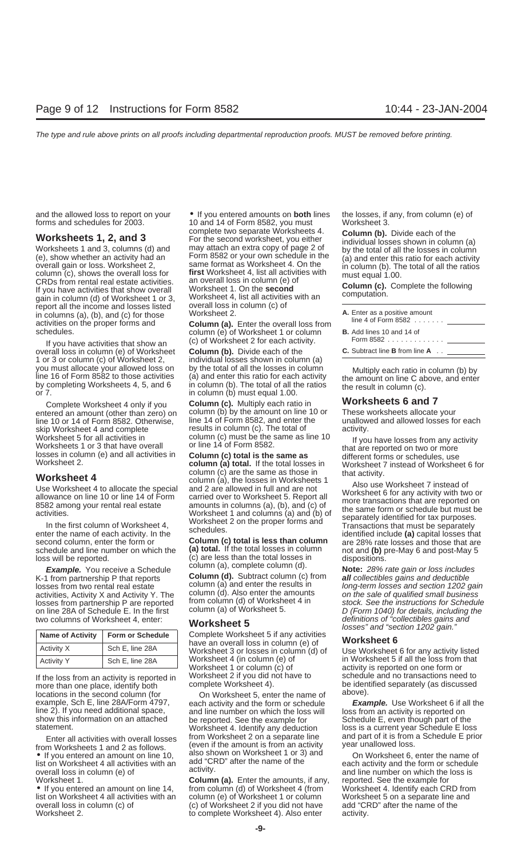gain in column (d) of Worksheet 1 or 3,<br>report all the income and losses listed overall loss in column (c) of<br>in columns (a), (b), and (c) for those Worksheet 2.<br>activities on the proper forms and **Column (a).** Enter the o

overall loss in column (e) of Worksheet **Column (b).** Divide each of the 1 or 3 or column (c) of Worksheet 2, individual losses shown in column (a) you must allocate your allowed loss on by the total of all the losses in column you must allocate your allowed loss on by the total of all the losses in column Multiply each ratio in column (b) by line 16 of Form 8582 to those activities (a) and enter this ratio for each activity the amount on line C

Worksheet 5 for all activities in column (c) must be the same as line 10<br>Worksheets 1 or 3 that have overall or line 14 of Form 8582.<br>In the same as the same as the same as different forms or schedules, use<br>Worksheet 2.<br>Wo

enter the name of each activity. In the surfaction of the second column, enter the form or **Column (c) total is less than column** are 28% rate losses and those that are schedule and line number on which the **(a) total.** If schedule and line number on which the **(a) total.** If the total losses in column not and **(b)** pre-May 6 and post-May 5 loss will be reported. (c) are less than the total losses in dispositions.

K-1 from partnership P that reports **Column (d).** Subtract column (c) from **all** collectibles gains and deductible losses from partnership P are reported from column (d) of Worksheet 5.<br>In stock. See the instruction in stock. See the instructions for Schedule E. In the first column (a) of Worksheet 5.

| <b>Name of Activity</b> | <b>Form or Schedule</b> |  |
|-------------------------|-------------------------|--|
| Activity X              | Sch E, line 28A         |  |
| <b>Activity Y</b>       | Sch E, line 28A         |  |

more than one place, identify both complete Worksheet 4). be identified separately (as discussed<br>nocations in the second column (for complete Worksheet 5, orter the name of above). locations in the second column (for Con Worksheet 5, enter the name of example, Sch E, line 28A/Form 4797, each activity and the form or schedule line 2). If you need additional space, and line number on which the loss will loss from an activity is reported on show this information on an attached be reported. See the example for Schedule E, even though part of the

Enter all activities with overall losses from Worksheet 2 on a separate line and part of it is from a Schedule E prior<br>
from Worksheets 1 and 2 as follows. (even if the amount is from an activity vear unallowed loss.<br>
■ I Worksheet 1. **Column (a).** Enter the amounts, if any, reported. See the example for

overall loss in column (c) of (c) of Worksheet 2 if you did not have

and the allowed loss to report on your  $\bullet$  If you entered amounts on **both** lines the losses, if any, from column (e) of forms and schedules for 2003. **10** and 14 of Form 8582, you must Worksheet 3. forms 10 and 14 of Form 8582, you must Worksheet 3.<br>complete two separate Worksheets 4. **Worksheets 1, 2, and 3**<br>
Worksheets 1 and 3, columns (d) and<br>
(e), show whether an activity had an<br>
(e), show whether an activity had an<br>
(e), show whether an activity had an<br>
(e), show whether an activity had an<br>
Column CRDs from rental real estate activities. an overall loss in column (e) of<br>If you have activities that show overall Worksheet 1. On the **second**<br>gain in column (d) of Worksheet 1 or 3, Worksheet 4, list all activities with

activities on the proper forms and **Column (a).** Enter the overall loss from schedules.<br>column (e) of Worksheet 1 or column If you have activities that show an (c) of Worksheet 2 for each activity.

Complete Worksheet 4 only if you **Column (c).** Multiply each ratio in **Worksheets 6 and 7** entered an amount (other than zero) on column (b) by the amount on line 10 or These worksheets allocate your<br>line 10 or 14 of Form 8582, Otherwise. line 14 of Form 8582, and enter the unallowed and allowed losses for each line 10 or 14 of Form 8582. Otherwise, line 14 of Form 8582, and enter the unallow<br>skip Worksheet 4 and complete stores for each the column (c). The total of stativity. skip Worksheet 4 and complete results in column (c). The total of activities in column (c) must be the same as line 10

**Worksheet 4**<br>
Use Worksheet 4 to allocate the special and 2 are allowed in full and are not<br>
allowance on line 10 or line 14 of Form carried over to Worksheet 5. Report all<br>
8582 among your rental real estate<br>
activities.

los will be reported. (c) are less than the total losses in dispositions.<br>**Example.** You receive a Schedule column (a), complete column (d). **Note:** 28% rate gain or loss includes

**Complete Worksheet 5 if any activities** have an overall loss in column (e) of **Worksheet 6** Worksheet 4 (in column (e) of in Worksheet 5 if all the loss from that Worksheet 1 or column (c) of  $\overline{\phantom{a}}$  activity is reported on one form or Worksheet 1 or column (c) of activity is reported on one form or<br>Worksheet 2 if you did not have to schedule and no transactions nee If the loss from an activity is reported in Worksheet 2 if you did not have to schedule and no transactions need to more than one place identify both complete Worksheet 4).

• If you entered an amount on line 14, from column (d) of Worksheet 4 (from Worksheet 4. Identify each CRD from<br>Iist on Worksheet 4 all activities with an column (e) of Worksheet 1 or column Worksheet 5 on a separate line column (e) of Worksheet 1 or column Worksheet 5 on a separate line and column when Worksheet 2 if you did not have add "CRD" after the name of the Worksheet 2. to complete Worksheet 4). Also enter activity.

| A. Enter as a positive amount<br>line 4 of Form 8582 $\ldots$ |
|---------------------------------------------------------------|
| <b>B.</b> Add lines 10 and 14 of<br>Form 8582 $\ldots$        |
| <b>C.</b> Subtract line <b>B</b> from line $A$ .              |

losses from two rental real estate column (a) and enter the results in long-term losses and section 1202 gain<br>activities, Activity X and Activity Y. The column (d). Also enter the amounts on the sale of qualified small bus column (d). Also enter the amounts on the sale of qualified small business<br>from column (d) of Worksheet 4 in stock. See the instructions for Schedule on line 28A of Schedule E. In the first column (a) of Worksheet 5. D (Form 1040) for details, including the two columns of Worksheet 4, enter:<br> **Marksheet 5.** Markshand **F** definitions of "collectibles gains and two columns of Worksheet 4, enter: **definitions of "collectibles gains and interest of the definitions of "collectibles gains and "section 1202 gain."** 

Worksheet 3 or losses in column (d) of Use Worksheet 6 for any activity listed

example, Sch E, line 28A/Form 4797, each activity and the form or schedule **Example.** Use Worksheet 6 if all the line 2). If you need additional space, and line number on which the loss will loss from an activity is report Worksheet 4. Identify any deduction loss is a current year Schedule E loss<br>from Worksheet 2 on a separate line and part of it is from a Schedule E prior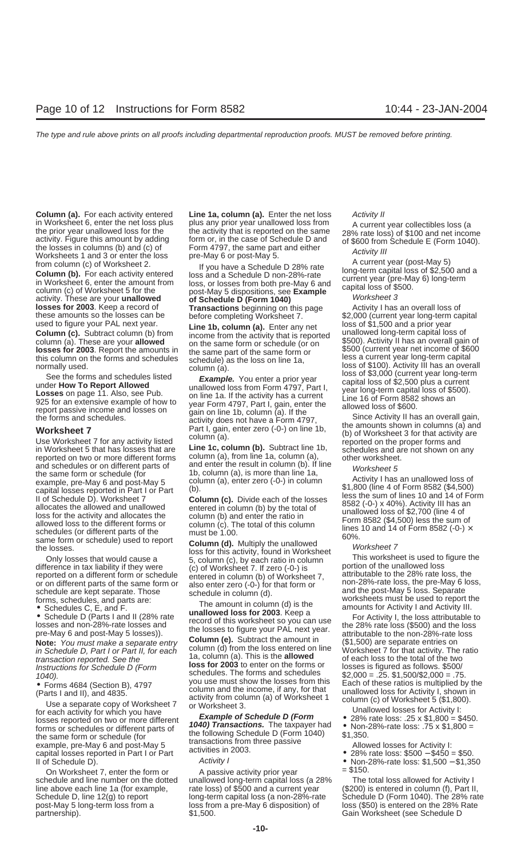and schedules or on different parts of<br>
the same form or schedule (for<br>
the same form or schedule (for<br>
example, pre-May 5<br>
example, pre-May 5<br>
column (a), enter zero (-0-) in column<br>
capital losses reported in Part I or

in Schedule D, Part I or Part II, for each column (d) from the loss entered on line Worksheet 7 for that activity. The ratio transaction reported. See the loss for a column (a). This is the **allowed** of each loss to the to **loss for 2003** to enter on the forms or Instructions for Schedule D (Form loss for 2003 to enter on the forms or  $1040$ )

Form and the income, if any, for that<br>
(Parts I and II), and 4835.<br>
Use a separate copy of Worksheet 7<br>
Olumn (a) of Worksheet 1<br>
Column (a) of Worksheet 1<br>
Column (c) of Worksheet 5 (\$1,800).<br>
Use a separate copy of Works Forms or schedules or different parts of<br>the following Schedule D (Form 1040)<br>the same form or schedule (for<br>example, pre-May 6 and post-May 5<br>capital losses reported in Part I or Part<br>capital losses reported in Part I or Capital losses reported in Part I or Part activities in 2003.<br>
Il of Schedule D). Activity I • Non-28%-rate loss: \$1,500 – \$1,350

**Column (a).** For each activity entered Line 1a, column (a). Enter the net loss Activity II

in Worksheet 6, enter the net loss plus any prior year unallowed loss from A current year collectibles loss (a<br>the prior year unallowed loss for the activity that is reported on the same<br>activity. Figure this amount by add

Scheen to the losses.<br>
This worksheet This worksheet This worksheet This worksheet This worksheet This worksheet This worksheet of this activity, found in Worksheet This worksheet is used to figure the difference in tax li

1a, column (a). This is the **allowed** of each loss to the total of the two<br>**loss for 2003** to enter on the forms or losses is figured as follows. \$500/ 1040).<br>Schedules. The forms and schedules  $$2,000 = .25$ . \$1,500/\$2,000 = .75.<br>Schedules by the form is the fact of these ratios is multiplied by the Fact of these ratios is multiplied by • Forms 4684 (Section B), 4797 you use must show the losses from this Each of these ratios is multiplied by the column and the income, if any, for that unallowed loss for Activity I, shown in (Parts I and II), and 4835.

On Worksheet 7, enter the form or  $\qquad \qquad$  A passive activity prior year  $\qquad \qquad = \$150$ . schedule and line number on the dotted unallowed long-term capital loss (a 28% The total loss allowed for Activity I line above each line 1a (for example, rate loss) of \$500 and a current year (\$200) is entered in column (f), Part II, Schedule D, line 12(g) to report long-term capital loss (a non-28%-rate Schedule D (Form 1040). The 28% Schedule D, line 12(g) to report long-term capital loss (a non-28%-rate Schedule D (Form 1040). The 28% rate post-May 5 long-term loss from a loss from a pre-May 6 disposition) of loss (\$50) is entered on the 28% Rate partnership). \$1,500. Gain Worksheet (see Schedule D

**Transactions** beginning on this page these amounts so the losses can be these amounts so the losses can be before completing Worksheet 7. \$2,000 (current year long-term capital used to figure your PAL next year. used to figure your PAL next year.<br> **Column (a).** Enter any net<br> **Column (b)** from income from the activity that is reported unine to the same form of state of the same form of the same form or<br> **Column (a).** These are you

pre-May 6 and post-May 5 losses).<br> **Note:** You must make a separate entry **Column (e).** Subtract the amount in (\$1,500) are separate entries on<br>
in Schodule D, Part Let Part II, for each column (d) from the loss entered on

- 
- 
- 
- 
- -

loss (\$50) is entered on the 28% Rate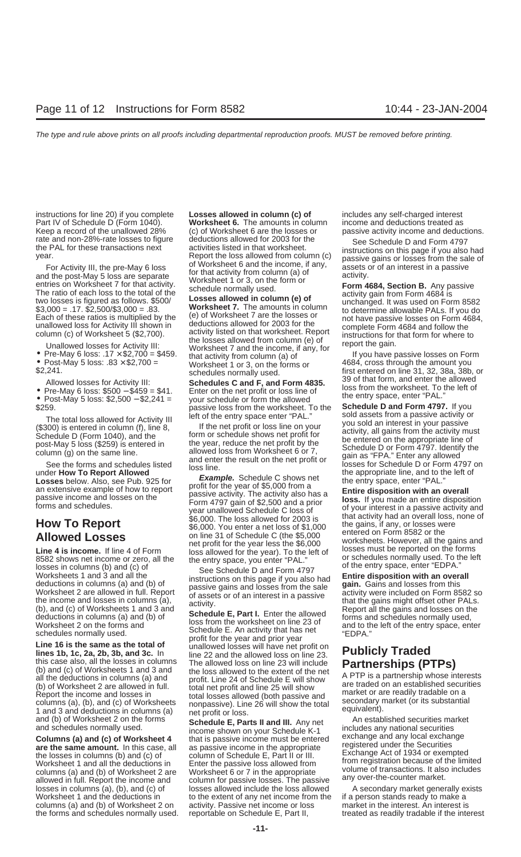- 
- 

this case also, all the losses in columns The allowed loss on line 23. **FUDICIT ITAGED**<br>
(b) and (c) of Worksheets 1 and 3 and the loss allowed to the extent of the net<br>
all the deductions in columns (a) and the loss allow all the deductions in columns (a) and<br>
(b) of Worksheet 2 are allowed in full.<br>
(b) of Worksheet 2 are allowed in full.<br>
(b) of Worksheet 2 are allowed in full.<br>
The actual columns (a) total interests<br>
columns (a), (b), an

the losses in columns (b) and (c) of column of Schedule E, Part II or III. Exchange Act of 1934 of exempted<br>Worksheet 1 and all the deductions in Enter the passive loss allowed from the magistration because of the limited<br> columns (a) and (b) of Worksheet 2 are Worksheet 6 or 7 in the appropriate volume of transactions. It also allowed in full. Report the income and column for passive losses. The passive any over-the-counter market. losses in columns (a), (b), and (c) of losses allowed include the loss allowed A secondary market generally exists<br>Worksheet 1 and the deductions in let to the extent of any net income from the if a person stands ready to columns (a) and (b) of Worksheet 2 on activity. Passive net income or loss the forms and schedules normally used. reportable on Schedule E, Part II, treated as readily tradable if the interest

instructions for line 20) if you complete **Losses allowed in column (c) of** includes any self-charged interest Part IV of Schedule D (Form 1040). **Worksheet 6.** The amounts in column income and deductions treated as Keep a record of the unallowed 28% (c) of Worksheet 6 are the losses or passive activity income and deduc Keep a record of the unallowed 28% (c) of Worksheet 6 are the losses or passive activity income and deductions.<br>The rate and non-28%-rate losses to figure deductions allowed for 2003 for the see Schedule D and Form 4797

rate and non-28%-rate losses to figure<br>
year. See Schedule D and Form 4797<br>
year.<br>
year. See Schedule D and Form 4797<br>
year.<br>
year. All for these transactions next activity lill the pre-May 6 loss<br>
and the post-May 5 loss

Allowed losses for Activity III:<br>
• Pre-May 6 loss: \$500 – \$459 = \$41. Enter on the net profit or loss line of<br>
• Post-May 5 loss: \$2,500 – \$2,241 = your schedule or form the allowed<br>
• Post-May 5 loss: \$2,500 – \$2,241 = • Post-May 5 loss: \$2,500 - \$2,241 = your schedule or form the allowed<br>\$259. passive loss from the worksheet. To the **Schedule D and Form 4797.** If you<br>left of the entry space enter "PAL." sold assets from a passive activi

The total loss allowed for Activity II ief of the entry space enter "PAL,"<br>
School series the column (f), im 8. If the net profit or loss ine on your sold an interest in cours since<br>
School) series from the activity and g

Worksheet 2 on the forms and<br>
schedule E. An activity that has net<br>
schedule E. An activity that has net<br>
Line 16 is the same as the total of<br>
lines 1b, 1c, 2a, 2b, 3b, and 3c. In<br>
line 22 and the allowed loss on line 23.<br>

**Columns (a) and (c) of Worksheet 4** that is passive income must be entered exchange and any local exchange<br>are the same amount. In this case, all as passive income in the appropriate registered under the Securities<br>the lo to the extent of any net income from the if a person stands ready to make a<br>activity. Passive net income or loss market in the interest. An interest is